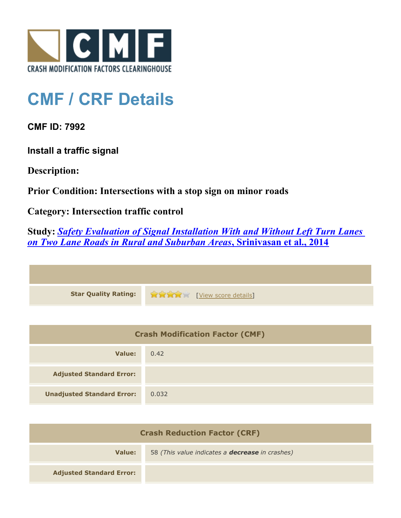

## **CMF / CRF Details**

**CMF ID: 7992**

**Install a traffic signal**

**Description:** 

**Prior Condition: Intersections with a stop sign on minor roads**

**Category: Intersection traffic control**

**Study:** *[Safety Evaluation of Signal Installation With and Without Left Turn Lanes](http://www.cmfclearinghouse.org/study_detail.cfm?stid=444) [on Two Lane Roads in Rural and Suburban Areas](http://www.cmfclearinghouse.org/study_detail.cfm?stid=444)***[, Srinivasan et al., 2014](http://www.cmfclearinghouse.org/study_detail.cfm?stid=444)**

| <b>Star Quality Rating:</b> | <b>THE EXAMPLE EXAMPLE IN THE EXAMPLE ENGINEERING</b> |
|-----------------------------|-------------------------------------------------------|

| <b>Crash Modification Factor (CMF)</b> |       |
|----------------------------------------|-------|
| Value:                                 | 0.42  |
| <b>Adjusted Standard Error:</b>        |       |
| <b>Unadjusted Standard Error:</b>      | 0.032 |

| <b>Crash Reduction Factor (CRF)</b> |                                                        |
|-------------------------------------|--------------------------------------------------------|
| Value:                              | 58 (This value indicates a <b>decrease</b> in crashes) |
| <b>Adjusted Standard Error:</b>     |                                                        |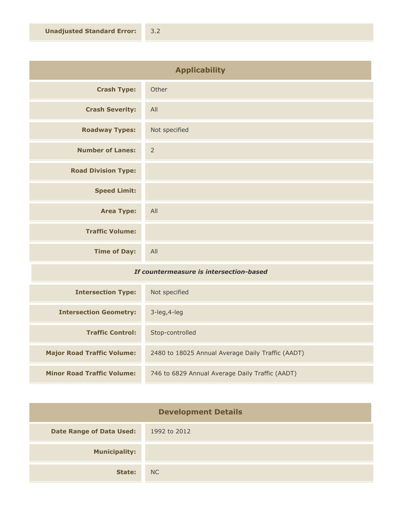| <b>Applicability</b>       |                |
|----------------------------|----------------|
| <b>Crash Type:</b>         | Other          |
| <b>Crash Severity:</b>     | All            |
| <b>Roadway Types:</b>      | Not specified  |
| <b>Number of Lanes:</b>    | $\overline{2}$ |
| <b>Road Division Type:</b> |                |
| <b>Speed Limit:</b>        |                |
| <b>Area Type:</b>          | All            |
| <b>Traffic Volume:</b>     |                |
| <b>Time of Day:</b>        | All            |

## *If countermeasure is intersection-based*

| <b>Intersection Type:</b>         | Not specified                                     |
|-----------------------------------|---------------------------------------------------|
| <b>Intersection Geometry:</b>     | $3$ -leg, $4$ -leg                                |
| <b>Traffic Control:</b>           | Stop-controlled                                   |
| <b>Major Road Traffic Volume:</b> | 2480 to 18025 Annual Average Daily Traffic (AADT) |
| <b>Minor Road Traffic Volume:</b> | 746 to 6829 Annual Average Daily Traffic (AADT)   |

| <b>Development Details</b>      |              |
|---------------------------------|--------------|
| <b>Date Range of Data Used:</b> | 1992 to 2012 |
| <b>Municipality:</b>            |              |
| State:                          | NC           |